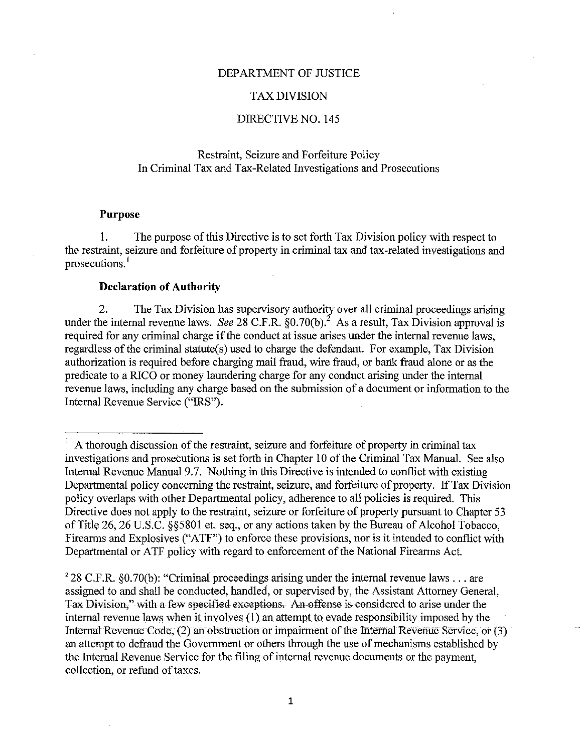### DEPARTMENT OF JUSTICE

#### TAX DIVISION

### DIRECTIVE NO. 145

# Restraint, Seizure and Forfeiture Policy In Criminal Tax and Tax-Related Investigations and Prosecutions

#### **Purpose**

I. The purpose of this Directive is to set forth Tax Division policy with respect to the restraint, seizure and forfeiture of property in criminal tax and tax -related investigations and prosecutions.<sup>1</sup>

#### **Declaration of Authority**

2. The Tax Division has supervisory authority over all criminal proceedings arising under the internal revenue laws. *See* 28 C.F.R.  $\S 0.70(b)$ .<sup>2</sup> As a result, Tax Division approval is required for any criminal charge if the conduct at issue arises under the internal revenue laws. regardless of the criminal statute(s) used to charge the defendant. For example, Tax Division authorization is required before charging mail fraud, wire fraud, or bank fraud alone or as the predicate to a RICO or money laundering charge for any conduct arising under the internal revenue laws, including any charge based on the submission of a document or information to the Internal Revenue Service ("IRS").

 $1$  A thorough discussion of the restraint, seizure and forfeiture of property in criminal tax investigations and prosecutions is set forth in Chapter 10 of the Criminal Tax Manual. See also Internal Revenue Manual 9.7. Nothing in this Directive is intended to conflict with existing Departmental policy concerning the restraint, seizure, and forfeiture of property. If Tax Division policy overlaps with other Departmental policy, adherence to all policies is required. This Directive does not apply to the restraint, seizure or forfeiture of property pursuant to Chapter 53 of Title 26, 26 U.S.C. §§5801 et. seq., or any actions taken by the Bureau of Alcohol Tobacco, Firearms and Explosives ("ATF") to enforce these provisions, nor is it intended to conflict with Departmental or ATF policy with regard to enforcement of the National Firearms Act.

<sup>&</sup>lt;sup>2</sup> 28 C.F.R. §0.70(b): "Criminal proceedings arising under the internal revenue laws ... are assigned to and shall be conducted, handled, or supervised by, the Assistant Attorney General, Tax Division," with a few specified exceptions. An offense is considered to arise under the internal revenue laws when it involves (I) an attempt to evade responsibility imposed by the Internal Revenue Code, (2) an obstruction or impairment of the Internal Revenue Service, or (3) an attempt to defraud the Government or others through the use of mechanisms established by the Internal Revenue Service for the filing of internal revenue documents or the payment, collection, or refund of taxes.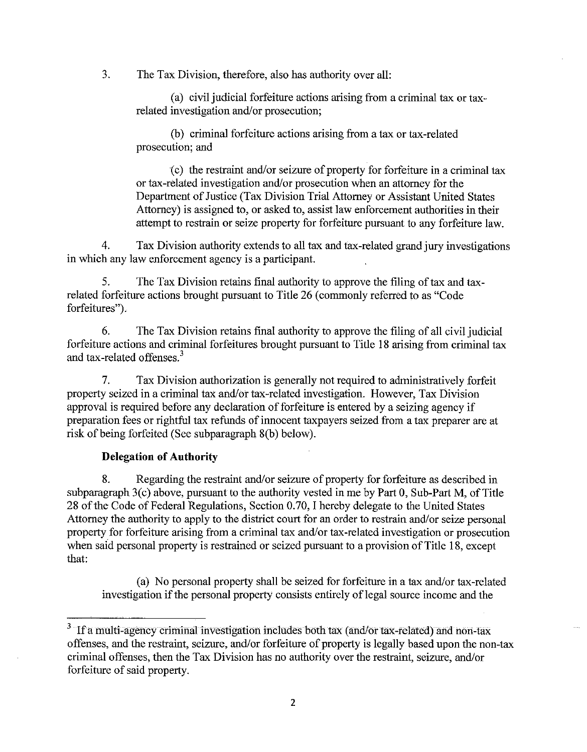3. The Tax Division, therefore, also has authority over all:

(a) civil judicial forfeiture actions arising from a criminal tax or taxrelated investigation and/or prosecution;

(b) criminal forfeiture actions arising from a tax or tax-related prosecution; and

~c) the restraint and/or seizure of property for forfeiture in a criminal tax or tax-related investigation and/or prosecution when an attorney for the Department of Justice (Tax Division Trial Attorney or Assistant United States Attorney) is assigned to, or asked to, assist law enforcement authorities in their attempt to restrain or seize property for forfeiture pursuant to any forfeiture law.

4. Tax Division authority extends to all tax and tax-related grand jury investigations in which any law enforcement agency is a participant.

5. The Tax Division retains final authority to approve the filing of tax and taxrelated forfeiture actions brought pursuant to Title 26 (commonly referred to as "Code forfeitures").

6. The Tax Division retains final authority to approve the filing of all civil judicial forfeiture actions and criminal forfeitures brought pursuant to Title 18 arising from criminal tax and tax-related offenses.<sup>3</sup>

7. Tax Division authorization is generally not required to administratively forfeit property seized in a criminal tax and/or tax-related investigation. However, Tax Division approval is required before any declaration of forfeiture is entered by a seizing agency if preparation fees or rightful tax refunds of innocent taxpayers seized from a tax preparer are at risk of being forfeited (See subparagraph 8(b) below).

# **Delegation of Authority**

8. Regarding the restraint and/or seizure of property for forfeiture as described in subparagraph 3(c) above, pursuant to the authority vested in me by Part 0, Sub-Part M, of Title 28 of the Code of Federal Regulations, Section 0.70, I hereby delegate to the United States Attorney the authority to apply to the district court for an order to restrain and/or seize personal property for forfeiture arising from a criminal tax and/or tax-related investigation or prosecution when said personal property is restrained or seized pursuant to a provision of Title 18, except that:

(a) No personal property shall be seized for forfeiture in a tax and/or tax-related investigation if the personal property consists entirely of legal source income and the

<sup>&</sup>lt;sup>3</sup> If a multi-agency criminal investigation includes both tax (and/or tax-related) and non-tax offenses, and the restraint, seizure, and/or forfeiture of property is legally based upon the non-tax criminal offenses, then the Tax Division has no authority over the restraint, seizure, and/or forfeiture of said property.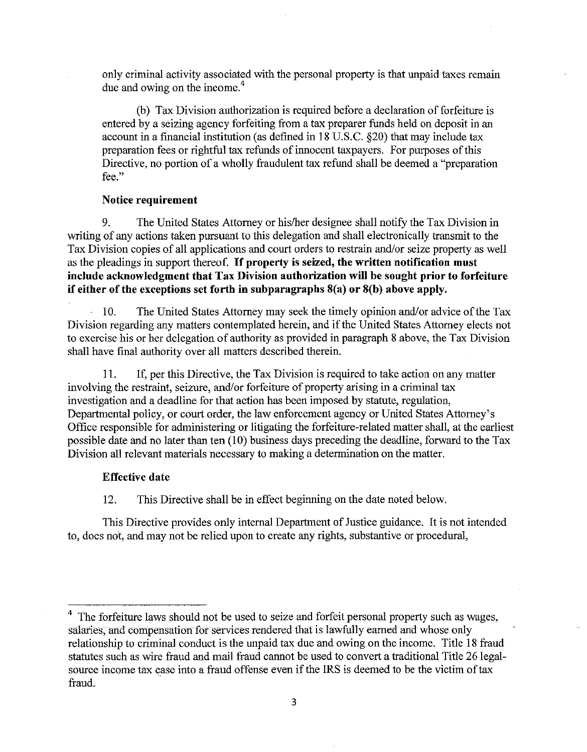only criminal activity associated with the personal property is that unpaid taxes remain due and owing on the income.<sup>4</sup>

(b) Tax Division authorization is required before a declaration of forfeiture is entered by a seizing agency forfeiting from a tax preparer funds held on deposit in an account in a financial institution (as defined in 18 U.S.C. 820) that may include tax preparation fees or rightful tax refunds of innocent taxpayers. For purposes ofthis Directive, no portion of a wholly fraudulent tax refund shall be deemed a "preparation **fee."** 

# **Notice requirement**

9. The United States Attorney or his/her designee shall notify the Tax Division in writing of any actions taken pursuant to this delegation and shall electronically transmit to the Tax Division copies of all applications and court orders to restrain and/or seize property as well as the pleadings in support thereof. If **property is seized, the written notification must include acknowledgment that Tax Division authorization will be sought prior to forfeiture if either of the exceptions set forth in subparagraphs 8(a) or 8(b) above apply.** 

10. The United States Attorney may seek the timely opinion and/or advice of the Tax Division regarding any matters contemplated herein, and if the United States Attorney elects not to exercise his or her delegation of authority as provided in paragraph 8 above, the Tax Division shall have final authority over all matters described therein.

11. If, per this Directive, the Tax Division is required to take action on any matter involving the restraint, seizure, and/or forfeiture of property arising in a criminal tax investigation and a deadline for that action has been imposed by statute, regulation, Departmental policy, or court order, the law enforcement agency or United States Attorney's Office responsible for administering or litigating the forfeiture-related matter shall, at the earliest possible date and no later than ten  $(10)$  business days preceding the deadline, forward to the Tax Division all relevant materials necessary to making a determination on the matter.

### **Effective date**

12. This Directive shall be in effect beginning on the date noted below.

This Directive provides only internal Department of Justice guidance. It is not intended to, does not, and may not be relied upon to create any rights, substantive or procedural,

<sup>4</sup> The forfeiture laws should not be used to seize and forfeit personal property such as wages, salaries, and compensation for services rendered that is lawfully earned and whose only relationship to criminal conduct is the unpaid tax due and owing on the income. Title 18 fraud statutes such as wire fraud and mail fraud cannot be used to convert a traditional Title 26 legalsource income tax case into a fraud offense even if the IRS is deemed to be the victim of tax fraud.